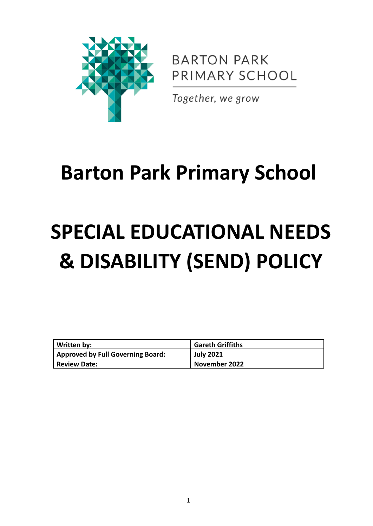

**BARTON PARK** PRIMARY SCHOOL

Together, we grow

# **Barton Park Primary School**

# **SPECIAL EDUCATIONAL NEEDS & DISABILITY (SEND) POLICY**

| Written by:                              | ' Gareth Griffiths |
|------------------------------------------|--------------------|
| <b>Approved by Full Governing Board:</b> | <b>July 2021</b>   |
| <b>Review Date:</b>                      | November 2022      |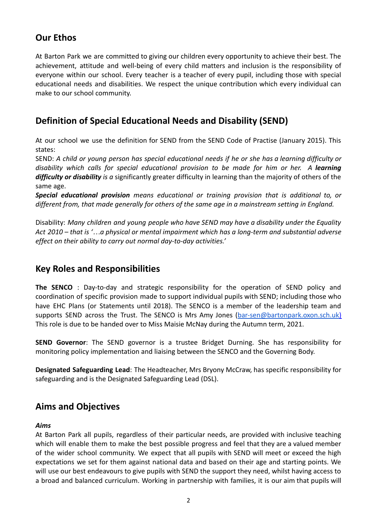# **Our Ethos**

At Barton Park we are committed to giving our children every opportunity to achieve their best. The achievement, attitude and well-being of every child matters and inclusion is the responsibility of everyone within our school. Every teacher is a teacher of every pupil, including those with special educational needs and disabilities. We respect the unique contribution which every individual can make to our school community.

# **Definition of Special Educational Needs and Disability (SEND)**

At our school we use the definition for SEND from the SEND Code of Practise (January 2015). This states:

SEND: A child or young person has special educational needs if he or she has a learning difficulty or *disability which calls for special educational provision to be made for him or her. A learning difficulty or disability is a* significantly greater difficulty in learning than the majority of others of the same age.

*Special educational provision means educational or training provision that is additional to, or different from, that made generally for others of the same age in a mainstream setting in England.*

Disability: *Many children and young people who have SEND may have a disability under the Equality* Act 2010 – that is '...a physical or mental impairment which has a long-term and substantial adverse *effect on their ability to carry out normal day-to-day activities.'*

# **Key Roles and Responsibilities**

**The SENCO** : Day-to-day and strategic responsibility for the operation of SEND policy and coordination of specific provision made to support individual pupils with SEND; including those who have EHC Plans (or Statements until 2018). The SENCO is a member of the leadership team and supports SEND across the Trust. The SENCO is Mrs Amy Jones ([bar-sen@bartonpark.oxon.sch.uk\)](mailto:bar-sen@bartonpark.oxon.sch.uk) This role is due to be handed over to Miss Maisie McNay during the Autumn term, 2021.

**SEND Governor**: The SEND governor is a trustee Bridget Durning. She has responsibility for monitoring policy implementation and liaising between the SENCO and the Governing Body.

**Designated Safeguarding Lead**: The Headteacher, Mrs Bryony McCraw, has specific responsibility for safeguarding and is the Designated Safeguarding Lead (DSL).

#### **Aims and Objectives**

#### *Aims*

At Barton Park all pupils, regardless of their particular needs, are provided with inclusive teaching which will enable them to make the best possible progress and feel that they are a valued member of the wider school community. We expect that all pupils with SEND will meet or exceed the high expectations we set for them against national data and based on their age and starting points. We will use our best endeavours to give pupils with SEND the support they need, whilst having access to a broad and balanced curriculum. Working in partnership with families, it is our aim that pupils will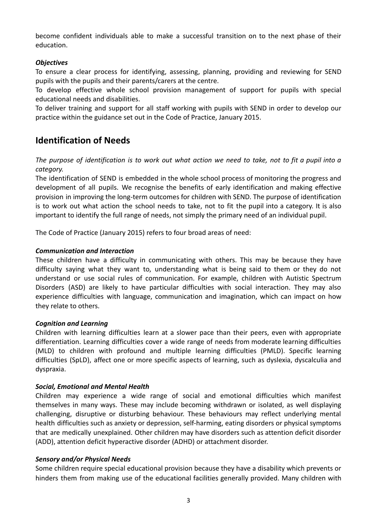become confident individuals able to make a successful transition on to the next phase of their education.

#### *Objectives*

To ensure a clear process for identifying, assessing, planning, providing and reviewing for SEND pupils with the pupils and their parents/carers at the centre.

To develop effective whole school provision management of support for pupils with special educational needs and disabilities.

To deliver training and support for all staff working with pupils with SEND in order to develop our practice within the guidance set out in the Code of Practice, January 2015.

#### **Identification of Needs**

The purpose of identification is to work out what action we need to take, not to fit a pupil into a *category.*

The identification of SEND is embedded in the whole school process of monitoring the progress and development of all pupils. We recognise the benefits of early identification and making effective provision in improving the long-term outcomes for children with SEND. The purpose of identification is to work out what action the school needs to take, not to fit the pupil into a category. It is also important to identify the full range of needs, not simply the primary need of an individual pupil.

The Code of Practice (January 2015) refers to four broad areas of need:

#### *Communication and Interaction*

These children have a difficulty in communicating with others. This may be because they have difficulty saying what they want to, understanding what is being said to them or they do not understand or use social rules of communication. For example, children with Autistic Spectrum Disorders (ASD) are likely to have particular difficulties with social interaction. They may also experience difficulties with language, communication and imagination, which can impact on how they relate to others.

#### *Cognition and Learning*

Children with learning difficulties learn at a slower pace than their peers, even with appropriate differentiation. Learning difficulties cover a wide range of needs from moderate learning difficulties (MLD) to children with profound and multiple learning difficulties (PMLD). Specific learning difficulties (SpLD), affect one or more specific aspects of learning, such as dyslexia, dyscalculia and dyspraxia.

#### *Social, Emotional and Mental Health*

Children may experience a wide range of social and emotional difficulties which manifest themselves in many ways. These may include becoming withdrawn or isolated, as well displaying challenging, disruptive or disturbing behaviour. These behaviours may reflect underlying mental health difficulties such as anxiety or depression, self-harming, eating disorders or physical symptoms that are medically unexplained. Other children may have disorders such as attention deficit disorder (ADD), attention deficit hyperactive disorder (ADHD) or attachment disorder.

#### *Sensory and/or Physical Needs*

Some children require special educational provision because they have a disability which prevents or hinders them from making use of the educational facilities generally provided. Many children with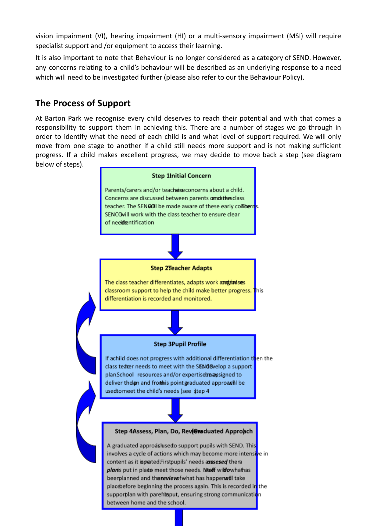vision impairment (VI), hearing impairment (HI) or a multi-sensory impairment (MSI) will require specialist support and /or equipment to access their learning.

It is also important to note that Behaviour is no longer considered as a category of SEND. However, any concerns relating to a child's behaviour will be described as an underlying response to a need which will need to be investigated further (please also refer to our the Behaviour Policy).

#### **The Process of Support**

At Barton Park we recognise every child deserves to reach their potential and with that comes a responsibility to support them in achieving this. There are a number of stages we go through in order to identify what the need of each child is and what level of support required. We will only move from one stage to another if a child still needs more support and is not making sufficient progress. If a child makes excellent progress, we may decide to move back a step (see diagram below of steps).

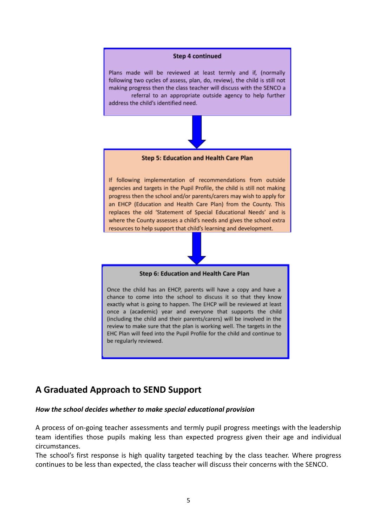

exactly what is going to happen. The EHCP will be reviewed at least once a (academic) year and everyone that supports the child (including the child and their parents/carers) will be involved in the review to make sure that the plan is working well. The targets in the EHC Plan will feed into the Pupil Profile for the child and continue to be regularly reviewed.

# **A Graduated Approach to SEND Support**

#### *How the school decides whether to make special educational provision*

A process of on-going teacher assessments and termly pupil progress meetings with the leadership team identifies those pupils making less than expected progress given their age and individual circumstances.

The school's first response is high quality targeted teaching by the class teacher. Where progress continues to be less than expected, the class teacher will discuss their concerns with the SENCO.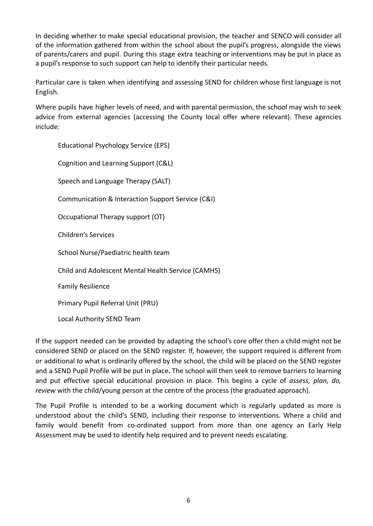In deciding whether to make special educational provision, the teacher and SENCO will consider all of the information gathered from within the school about the pupil's progress, alongside the views of parents/carers and pupil. During this stage extra teaching or interventions may be put in place as a pupil's response to such support can help to identify their particular needs.

Particular care is taken when identifying and assessing SEND for children whose first language is not English.

Where pupils have higher levels of need, and with parental permission, the school may wish to seek advice from external agencies (accessing the County local offer where relevant). These agencies include:

Educational Psychology Service (EPS) Cognition and Learning Support (C&L) Speech and Language Therapy (SALT) Communication & Interaction Support Service (C&I) Occupational Therapy support (OT) Children's Services School Nurse/Paediatric health team Child and Adolescent Mental Health Service (CAMHS) Family Resilience Primary Pupil Referral Unit (PRU) Local Authority SEND Team

If the support needed can be provided by adapting the school's core offer then a child might not be considered SEND or placed on the SEND register. If, however, the support required is different from or additional *to* what is ordinarily offered by the school, the child will be placed on the SEND register and a SEND Pupil Profile will be put in place**.** The school will then seek to remove barriers to learning and put effective special educational provision in place. This begins a cycle of *assess, plan, do, review* with the child/young person at the centre of the process (the graduated approach).

The Pupil Profile is intended to be a working document which is regularly updated as more is understood about the child's SEND, including their response to interventions. Where a child and family would benefit from co-ordinated support from more than one agency an Early Help Assessment may be used to identify help required and to prevent needs escalating.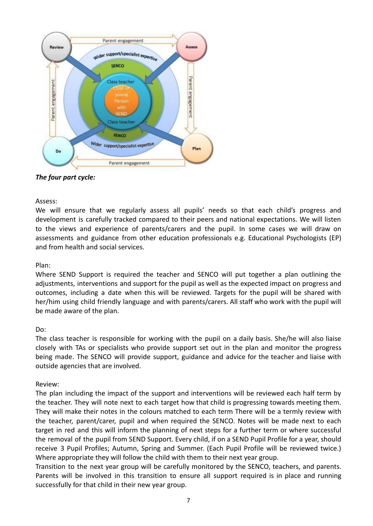

#### *The four part cycle:*

#### Assess:

We will ensure that we regularly assess all pupils' needs so that each child's progress and development is carefully tracked compared to their peers and national expectations. We will listen to the views and experience of parents/carers and the pupil. In some cases we will draw on assessments and guidance from other education professionals e.g. Educational Psychologists (EP) and from health and social services.

#### Plan:

Where SEND Support is required the teacher and SENCO will put together a plan outlining the adjustments, interventions and support for the pupil as well as the expected impact on progress and outcomes, including a date when this will be reviewed. Targets for the pupil will be shared with her/him using child friendly language and with parents/carers. All staff who work with the pupil will be made aware of the plan.

#### Do:

The class teacher is responsible for working with the pupil on a daily basis. She/he will also liaise closely with TAs or specialists who provide support set out in the plan and monitor the progress being made. The SENCO will provide support, guidance and advice for the teacher and liaise with outside agencies that are involved.

#### Review:

The plan including the impact of the support and interventions will be reviewed each half term by the teacher. They will note next to each target how that child is progressing towards meeting them. They will make their notes in the colours matched to each term There will be a termly review with the teacher, parent/carer, pupil and when required the SENCO. Notes will be made next to each target in red and this will inform the planning of next steps for a further term or where successful the removal of the pupil from SEND Support. Every child, if on a SEND Pupil Profile for a year, should receive 3 Pupil Profiles; Autumn, Spring and Summer. (Each Pupil Profile will be reviewed twice.) Where appropriate they will follow the child with them to their next year group.

Transition to the next year group will be carefully monitored by the SENCO, teachers, and parents. Parents will be involved in this transition to ensure all support required is in place and running successfully for that child in their new year group.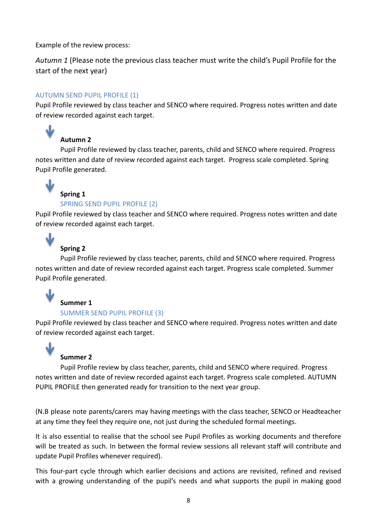Example of the review process:

*Autumn 1* (Please note the previous class teacher must write the child's Pupil Profile for the start of the next year)

#### AUTUMN SEND PUPIL PROFILE (1)

Pupil Profile reviewed by class teacher and SENCO where required. Progress notes written and date of review recorded against each target.

# **Autumn 2**

Pupil Profile reviewed by class teacher, parents, child and SENCO where required. Progress notes written and date of review recorded against each target. Progress scale completed. Spring Pupil Profile generated.



J

#### **Spring 1** SPRING SEND PUPIL PROFILE (2)

Pupil Profile reviewed by class teacher and SENCO where required. Progress notes written and date of review recorded against each target.

#### **Spring 2**

Pupil Profile reviewed by class teacher, parents, child and SENCO where required. Progress notes written and date of review recorded against each target. Progress scale completed. Summer Pupil Profile generated.



# **Summer 1**

#### SUMMER SEND PUPIL PROFILE (3)

Pupil Profile reviewed by class teacher and SENCO where required. Progress notes written and date of review recorded against each target.



#### **Summer 2**

Pupil Profile review by class teacher, parents, child and SENCO where required. Progress notes written and date of review recorded against each target. Progress scale completed. AUTUMN PUPIL PROFILE then generated ready for transition to the next year group.

(N.B please note parents/carers may having meetings with the class teacher, SENCO or Headteacher at any time they feel they require one, not just during the scheduled formal meetings.

It is also essential to realise that the school see Pupil Profiles as working documents and therefore will be treated as such. In between the formal review sessions all relevant staff will contribute and update Pupil Profiles whenever required).

This four-part cycle through which earlier decisions and actions are revisited, refined and revised with a growing understanding of the pupil's needs and what supports the pupil in making good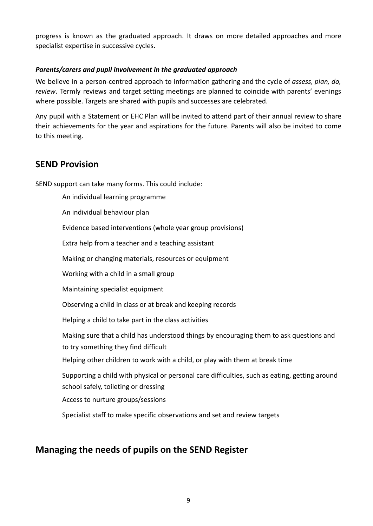progress is known as the graduated approach. It draws on more detailed approaches and more specialist expertise in successive cycles.

#### *Parents/carers and pupil involvement in the graduated approach*

We believe in a person-centred approach to information gathering and the cycle of *assess, plan, do, review*. Termly reviews and target setting meetings are planned to coincide with parents' evenings where possible. Targets are shared with pupils and successes are celebrated.

Any pupil with a Statement or EHC Plan will be invited to attend part of their annual review to share their achievements for the year and aspirations for the future. Parents will also be invited to come to this meeting.

#### **SEND Provision**

SEND support can take many forms. This could include:

An individual learning programme An individual behaviour plan Evidence based interventions (whole year group provisions) Extra help from a teacher and a teaching assistant Making or changing materials, resources or equipment Working with a child in a small group Maintaining specialist equipment Observing a child in class or at break and keeping records Helping a child to take part in the class activities Making sure that a child has understood things by encouraging them to ask questions and to try something they find difficult Helping other children to work with a child, or play with them at break time Supporting a child with physical or personal care difficulties, such as eating, getting around school safely, toileting or dressing Access to nurture groups/sessions Specialist staff to make specific observations and set and review targets

#### **Managing the needs of pupils on the SEND Register**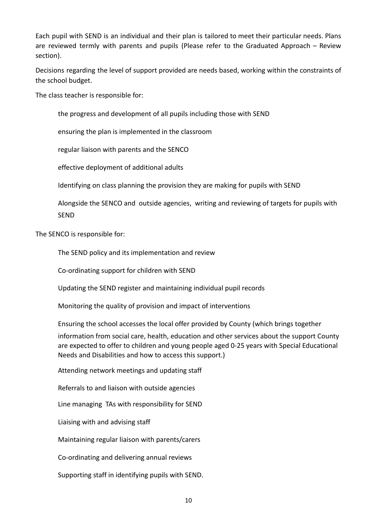Each pupil with SEND is an individual and their plan is tailored to meet their particular needs. Plans are reviewed termly with parents and pupils (Please refer to the Graduated Approach – Review section).

Decisions regarding the level of support provided are needs based, working within the constraints of the school budget.

The class teacher is responsible for:

the progress and development of all pupils including those with SEND

ensuring the plan is implemented in the classroom

regular liaison with parents and the SENCO

effective deployment of additional adults

Identifying on class planning the provision they are making for pupils with SEND

Alongside the SENCO and outside agencies, writing and reviewing of targets for pupils with SEND

The SENCO is responsible for:

The SEND policy and its implementation and review

Co-ordinating support for children with SEND

Updating the SEND register and maintaining individual pupil records

Monitoring the quality of provision and impact of interventions

Ensuring the school accesses the local offer provided by County (which brings together

information from social care, health, education and other services about the support County are expected to offer to children and young people aged 0-25 years with Special Educational Needs and Disabilities and how to access this support.)

Attending network meetings and updating staff

Referrals to and liaison with outside agencies

Line managing TAs with responsibility for SEND

Liaising with and advising staff

Maintaining regular liaison with parents/carers

Co-ordinating and delivering annual reviews

Supporting staff in identifying pupils with SEND.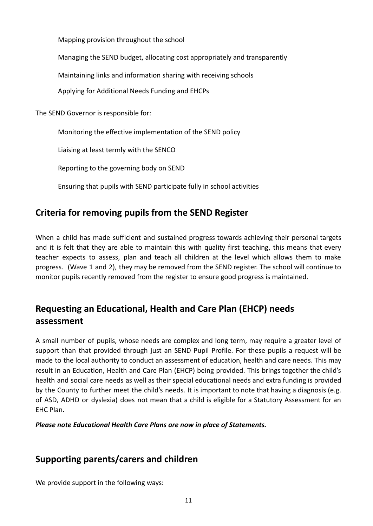Mapping provision throughout the school

Managing the SEND budget, allocating cost appropriately and transparently

Maintaining links and information sharing with receiving schools

Applying for Additional Needs Funding and EHCPs

The SEND Governor is responsible for:

Monitoring the effective implementation of the SEND policy

Liaising at least termly with the SENCO

Reporting to the governing body on SEND

Ensuring that pupils with SEND participate fully in school activities

# **Criteria for removing pupils from the SEND Register**

When a child has made sufficient and sustained progress towards achieving their personal targets and it is felt that they are able to maintain this with quality first teaching, this means that every teacher expects to assess, plan and teach all children at the level which allows them to make progress. (Wave 1 and 2), they may be removed from the SEND register. The school will continue to monitor pupils recently removed from the register to ensure good progress is maintained.

# **Requesting an Educational, Health and Care Plan (EHCP) needs assessment**

A small number of pupils, whose needs are complex and long term, may require a greater level of support than that provided through just an SEND Pupil Profile. For these pupils a request will be made to the local authority to conduct an assessment of education, health and care needs. This may result in an Education, Health and Care Plan (EHCP) being provided. This brings together the child's health and social care needs as well as their special educational needs and extra funding is provided by the County to further meet the child's needs. It is important to note that having a diagnosis (e.g. of ASD, ADHD or dyslexia) does not mean that a child is eligible for a Statutory Assessment for an EHC Plan.

*Please note Educational Health Care Plans are now in place of Statements.*

# **Supporting parents/carers and children**

We provide support in the following ways: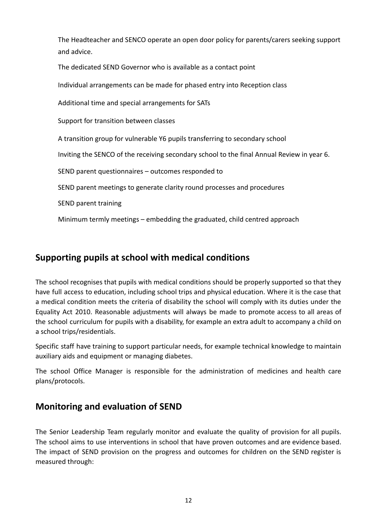The Headteacher and SENCO operate an open door policy for parents/carers seeking support and advice.

The dedicated SEND Governor who is available as a contact point

Individual arrangements can be made for phased entry into Reception class

Additional time and special arrangements for SATs

Support for transition between classes

A transition group for vulnerable Y6 pupils transferring to secondary school

Inviting the SENCO of the receiving secondary school to the final Annual Review in year 6.

SEND parent questionnaires – outcomes responded to

SEND parent meetings to generate clarity round processes and procedures

SEND parent training

Minimum termly meetings – embedding the graduated, child centred approach

#### **Supporting pupils at school with medical conditions**

The school recognises that pupils with medical conditions should be properly supported so that they have full access to education, including school trips and physical education. Where it is the case that a medical condition meets the criteria of disability the school will comply with its duties under the Equality Act 2010. Reasonable adjustments will always be made to promote access to all areas of the school curriculum for pupils with a disability, for example an extra adult to accompany a child on a school trips/residentials.

Specific staff have training to support particular needs, for example technical knowledge to maintain auxiliary aids and equipment or managing diabetes.

The school Office Manager is responsible for the administration of medicines and health care plans/protocols.

#### **Monitoring and evaluation of SEND**

The Senior Leadership Team regularly monitor and evaluate the quality of provision for all pupils. The school aims to use interventions in school that have proven outcomes and are evidence based. The impact of SEND provision on the progress and outcomes for children on the SEND register is measured through: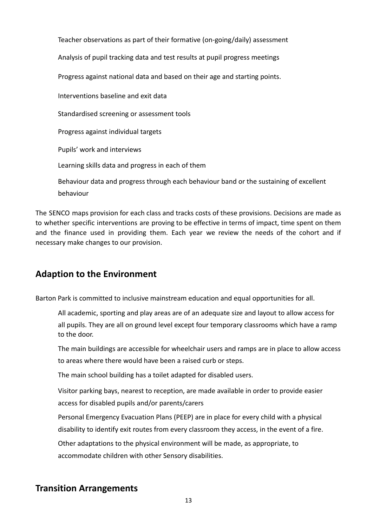Teacher observations as part of their formative (on-going/daily) assessment Analysis of pupil tracking data and test results at pupil progress meetings Progress against national data and based on their age and starting points. Interventions baseline and exit data Standardised screening or assessment tools Progress against individual targets Pupils' work and interviews Learning skills data and progress in each of them Behaviour data and progress through each behaviour band or the sustaining of excellent behaviour

The SENCO maps provision for each class and tracks costs of these provisions. Decisions are made as to whether specific interventions are proving to be effective in terms of impact, time spent on them and the finance used in providing them. Each year we review the needs of the cohort and if necessary make changes to our provision.

# **Adaption to the Environment**

Barton Park is committed to inclusive mainstream education and equal opportunities for all.

All academic, sporting and play areas are of an adequate size and layout to allow access for all pupils. They are all on ground level except four temporary classrooms which have a ramp to the door.

The main buildings are accessible for wheelchair users and ramps are in place to allow access to areas where there would have been a raised curb or steps.

The main school building has a toilet adapted for disabled users.

Visitor parking bays, nearest to reception, are made available in order to provide easier access for disabled pupils and/or parents/carers

Personal Emergency Evacuation Plans (PEEP) are in place for every child with a physical disability to identify exit routes from every classroom they access, in the event of a fire.

Other adaptations to the physical environment will be made, as appropriate, to accommodate children with other Sensory disabilities.

# **Transition Arrangements**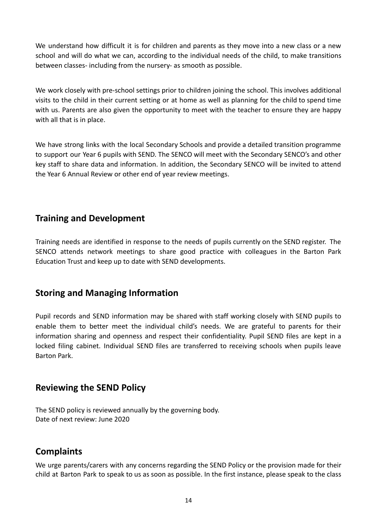We understand how difficult it is for children and parents as they move into a new class or a new school and will do what we can, according to the individual needs of the child, to make transitions between classes- including from the nursery- as smooth as possible.

We work closely with pre-school settings prior to children joining the school. This involves additional visits to the child in their current setting or at home as well as planning for the child to spend time with us. Parents are also given the opportunity to meet with the teacher to ensure they are happy with all that is in place.

We have strong links with the local Secondary Schools and provide a detailed transition programme to support our Year 6 pupils with SEND. The SENCO will meet with the Secondary SENCO's and other key staff to share data and information. In addition, the Secondary SENCO will be invited to attend the Year 6 Annual Review or other end of year review meetings.

# **Training and Development**

Training needs are identified in response to the needs of pupils currently on the SEND register. The SENCO attends network meetings to share good practice with colleagues in the Barton Park Education Trust and keep up to date with SEND developments.

# **Storing and Managing Information**

Pupil records and SEND information may be shared with staff working closely with SEND pupils to enable them to better meet the individual child's needs. We are grateful to parents for their information sharing and openness and respect their confidentiality. Pupil SEND files are kept in a locked filing cabinet. Individual SEND files are transferred to receiving schools when pupils leave Barton Park.

# **Reviewing the SEND Policy**

The SEND policy is reviewed annually by the governing body. Date of next review: June 2020

# **Complaints**

We urge parents/carers with any concerns regarding the SEND Policy or the provision made for their child at Barton Park to speak to us as soon as possible. In the first instance, please speak to the class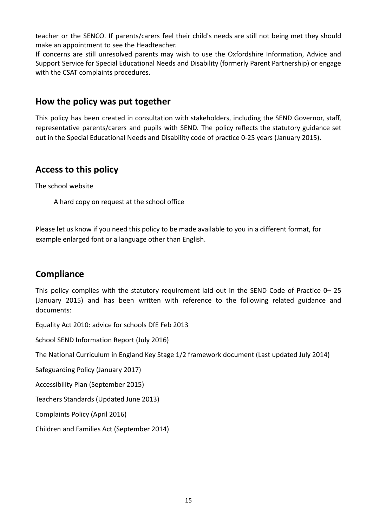teacher or the SENCO. If parents/carers feel their child's needs are still not being met they should make an appointment to see the Headteacher.

If concerns are still unresolved parents may wish to use the Oxfordshire Information, Advice and Support Service for Special Educational Needs and Disability (formerly Parent Partnership) or engage with the CSAT complaints procedures.

#### **How the policy was put together**

This policy has been created in consultation with stakeholders, including the SEND Governor, staff, representative parents/carers and pupils with SEND. The policy reflects the statutory guidance set out in the Special Educational Needs and Disability code of practice 0-25 years (January 2015).

#### **Access to this policy**

The school website

A hard copy on request at the school office

Please let us know if you need this policy to be made available to you in a different format, for example enlarged font or a language other than English.

# **Compliance**

This policy complies with the statutory requirement laid out in the SEND Code of Practice 0– 25 (January 2015) and has been written with reference to the following related guidance and documents:

Equality Act 2010: advice for schools DfE Feb 2013

School SEND Information Report (July 2016)

The National Curriculum in England Key Stage 1/2 framework document (Last updated July 2014)

Safeguarding Policy (January 2017)

Accessibility Plan (September 2015)

Teachers Standards (Updated June 2013)

Complaints Policy (April 2016)

Children and Families Act (September 2014)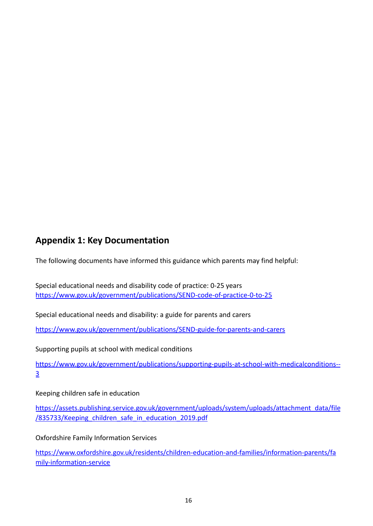# **Appendix 1: Key Documentation**

The following documents have informed this guidance which parents may find helpful:

Special educational needs and disability code of practice: 0-25 years [https://www.gov.uk/government/publications/SEND-code-of-practice-0-to-25](https://www.gov.uk/government/publications/send-code-of-practice-0-to-25)

Special educational needs and disability: a guide for parents and carers

[https://www.gov.uk/government/publications/SEND-guide-for-parents-and-carers](https://www.gov.uk/government/publications/send-guide-for-parents-and-carers)

Supporting pupils at school with medical conditions

[https://www.gov.uk/government/publications/supporting-pupils-at-school-with-medicalconditions--](https://www.gov.uk/government/publications/supporting-pupils-at-school-with-medical-conditions--3) [3](https://www.gov.uk/government/publications/supporting-pupils-at-school-with-medical-conditions--3)

Keeping children safe in education

[https://assets.publishing.service.gov.uk/government/uploads/system/uploads/attachment\\_data/file](https://assets.publishing.service.gov.uk/government/uploads/system/uploads/attachment_data/file/835733/Keeping_children_safe_in_education_2019.pdf) [/835733/Keeping\\_children\\_safe\\_in\\_education\\_2019.pdf](https://assets.publishing.service.gov.uk/government/uploads/system/uploads/attachment_data/file/835733/Keeping_children_safe_in_education_2019.pdf)

Oxfordshire Family Information Services

[https://www.oxfordshire.gov.uk/residents/children-education-and-families/information-parents/fa](https://www.oxfordshire.gov.uk/residents/children-education-and-families/information-parents/family-information-service) [mily-information-service](https://www.oxfordshire.gov.uk/residents/children-education-and-families/information-parents/family-information-service)